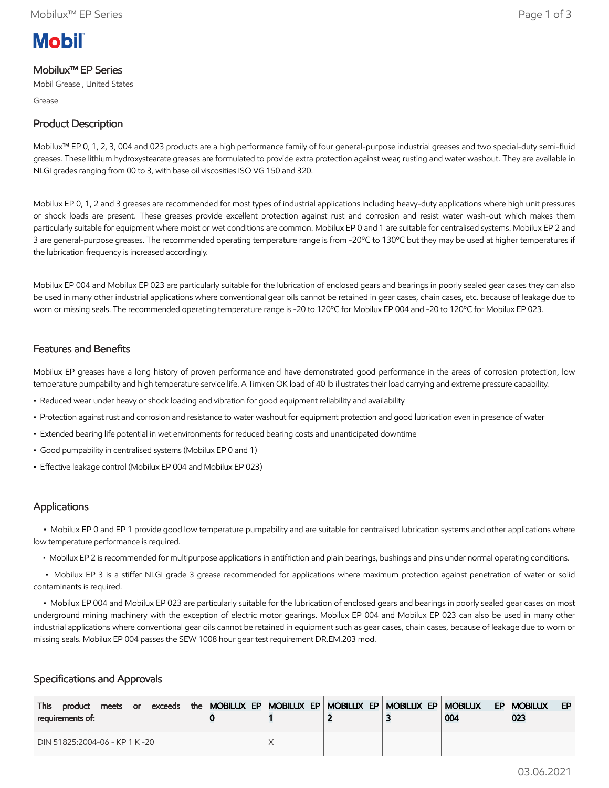# **Mobil**

#### Mobilux™ EP Series

Mobil Grease , United States

Grease

### Product Description

Mobilux™ EP 0, 1, 2, 3, 004 and 023 products are a high performance family of four general-purpose industrial greases and two special-duty semi-fluid greases. These lithium hydroxystearate greases are formulated to provide extra protection against wear, rusting and water washout. They are available in NLGI grades ranging from 00 to 3, with base oil viscosities ISO VG 150 and 320.

Mobilux EP 0, 1, 2 and 3 greases are recommended for most types of industrial applications including heavy-duty applications where high unit pressures or shock loads are present. These greases provide excellent protection against rust and corrosion and resist water wash-out which makes them particularly suitable for equipment where moist or wet conditions are common. Mobilux EP 0 and 1 are suitable for centralised systems. Mobilux EP 2 and 3 are general-purpose greases. The recommended operating temperature range is from -20ºC to 130ºC but they may be used at higher temperatures if the lubrication frequency is increased accordingly.

Mobilux EP 004 and Mobilux EP 023 are particularly suitable for the lubrication of enclosed gears and bearings in poorly sealed gear cases they can also be used in many other industrial applications where conventional gear oils cannot be retained in gear cases, chain cases, etc. because of leakage due to worn or missing seals. The recommended operating temperature range is -20 to 120ºC for Mobilux EP 004 and -20 to 120ºC for Mobilux EP 023.

#### Features and Benefits

Mobilux EP greases have a long history of proven performance and have demonstrated good performance in the areas of corrosion protection, low temperature pumpability and high temperature service life. A Timken OK load of 40 lb illustrates their load carrying and extreme pressure capability.

- Reduced wear under heavy or shock loading and vibration for good equipment reliability and availability
- Protection against rust and corrosion and resistance to water washout for equipment protection and good lubrication even in presence of water
- Extended bearing life potential in wet environments for reduced bearing costs and unanticipated downtime
- Good pumpability in centralised systems (Mobilux EP 0 and 1)
- Effective leakage control (Mobilux EP 004 and Mobilux EP 023)

#### Applications

 • Mobilux EP 0 and EP 1 provide good low temperature pumpability and are suitable for centralised lubrication systems and other applications where low temperature performance is required.

• Mobilux EP 2 is recommended for multipurpose applications in antifriction and plain bearings, bushings and pins under normal operating conditions.

 • Mobilux EP 3 is a stiffer NLGI grade 3 grease recommended for applications where maximum protection against penetration of water or solid contaminants is required.

 • Mobilux EP 004 and Mobilux EP 023 are particularly suitable for the lubrication of enclosed gears and bearings in poorly sealed gear cases on most underground mining machinery with the exception of electric motor gearings. Mobilux EP 004 and Mobilux EP 023 can also be used in many other industrial applications where conventional gear oils cannot be retained in equipment such as gear cases, chain cases, because of leakage due to worn or missing seals. Mobilux EP 004 passes the SEW 1008 hour gear test requirement DR.EM.203 mod.

#### Specifications and Approvals

| $exceeds$ the $\vert$ MOBILUX EP $\vert$ MOBILUX EP $\vert$ MOBILUX EP $\vert$ MOBILUX EP $\vert$ MOBILUX<br><b>This</b><br>product meets or<br>requirements of: |  |  | EP I<br>004 | EP.<br><b>MOBILUX</b><br>023 |
|------------------------------------------------------------------------------------------------------------------------------------------------------------------|--|--|-------------|------------------------------|
| DIN 51825:2004-06 - KP 1 K -20                                                                                                                                   |  |  |             |                              |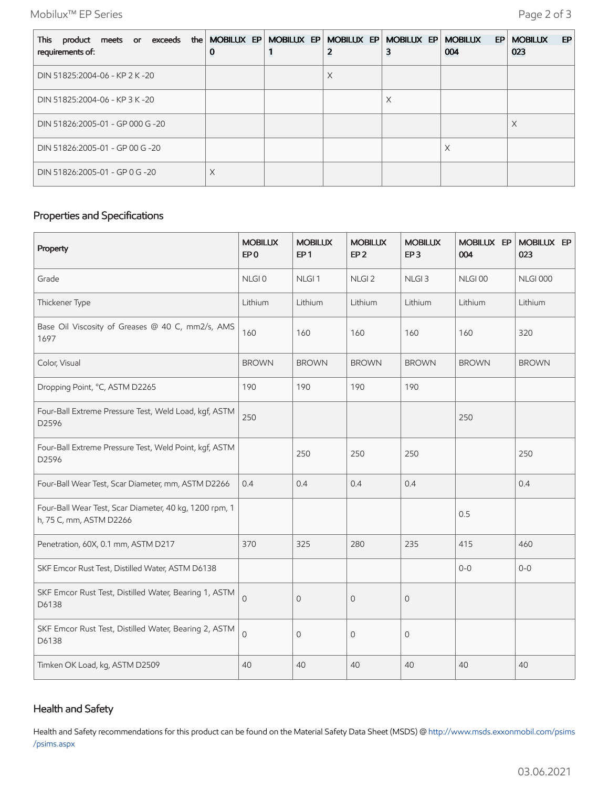Mobilux™ EP Series Page 2 of 3

| product meets or exceeds the MOBILUX EP MOBILUX EP<br>This<br>requirements of: | υ | MOBILUX EP | <b>MOBILUX EP</b> | <b>MOBILUX</b><br>EP<br>004 | EP<br><b>MOBILUX</b><br>023 |
|--------------------------------------------------------------------------------|---|------------|-------------------|-----------------------------|-----------------------------|
| DIN 51825:2004-06 - KP 2 K -20                                                 |   | X          |                   |                             |                             |
| DIN 51825:2004-06 - KP 3 K -20                                                 |   |            | X                 |                             |                             |
| DIN 51826:2005-01 - GP 000 G -20                                               |   |            |                   |                             | X                           |
| DIN 51826:2005-01 - GP 00 G -20                                                |   |            |                   | X                           |                             |
| DIN 51826:2005-01 - GP 0 G -20                                                 | X |            |                   |                             |                             |

## Properties and Specifications

| Property                                                                          | <b>MOBILUX</b><br>EP <sub>0</sub> | <b>MOBILUX</b><br>EP <sub>1</sub> | <b>MOBILUX</b><br>EP <sub>2</sub> | <b>MOBILUX</b><br>EP <sub>3</sub> | MOBILUX EP<br>004 | MOBILUX EP<br>023 |
|-----------------------------------------------------------------------------------|-----------------------------------|-----------------------------------|-----------------------------------|-----------------------------------|-------------------|-------------------|
| Grade                                                                             | NLGI0                             | NLGI <sub>1</sub>                 | NLGI <sub>2</sub>                 | NLGI <sub>3</sub>                 | NLGI00            | <b>NLGI 000</b>   |
| Thickener Type                                                                    | Lithium                           | Lithium                           | Lithium                           | Lithium                           | Lithium           | Lithium           |
| Base Oil Viscosity of Greases @ 40 C, mm2/s, AMS<br>1697                          | 160                               | 160                               | 160                               | 160                               | 160               | 320               |
| Color, Visual                                                                     | <b>BROWN</b>                      | <b>BROWN</b>                      | <b>BROWN</b>                      | <b>BROWN</b>                      | <b>BROWN</b>      | <b>BROWN</b>      |
| Dropping Point, °C, ASTM D2265                                                    | 190                               | 190                               | 190                               | 190                               |                   |                   |
| Four-Ball Extreme Pressure Test, Weld Load, kgf, ASTM<br>D2596                    | 250                               |                                   |                                   |                                   | 250               |                   |
| Four-Ball Extreme Pressure Test, Weld Point, kgf, ASTM<br>D2596                   |                                   | 250                               | 250                               | 250                               |                   | 250               |
| Four-Ball Wear Test, Scar Diameter, mm, ASTM D2266                                | 0.4                               | 0.4                               | 0.4                               | 0.4                               |                   | 0.4               |
| Four-Ball Wear Test, Scar Diameter, 40 kg, 1200 rpm, 1<br>h, 75 C, mm, ASTM D2266 |                                   |                                   |                                   |                                   | 0.5               |                   |
| Penetration, 60X, 0.1 mm, ASTM D217                                               | 370                               | 325                               | 280                               | 235                               | 415               | 460               |
| SKF Emcor Rust Test, Distilled Water, ASTM D6138                                  |                                   |                                   |                                   |                                   | $O - O$           | $O-O$             |
| SKF Emcor Rust Test, Distilled Water, Bearing 1, ASTM<br>D6138                    | $\overline{0}$                    | $\overline{0}$                    | $\mathbf 0$                       | $\overline{0}$                    |                   |                   |
| SKF Emcor Rust Test, Distilled Water, Bearing 2, ASTM<br>D6138                    | $\overline{0}$                    | $\overline{0}$                    | 0                                 | $\mathbf{O}$                      |                   |                   |
| Timken OK Load, kg, ASTM D2509                                                    | 40                                | 40                                | 40                                | 40                                | 40                | 40                |

## Health and Safety

Health and Safety recommendations for this product can be found on the Material Safety Data Sheet (MSDS) @ [http://www.msds.exxonmobil.com/psims](http://www.msds.exxonmobil.com/psims/psims.aspx) /psims.aspx